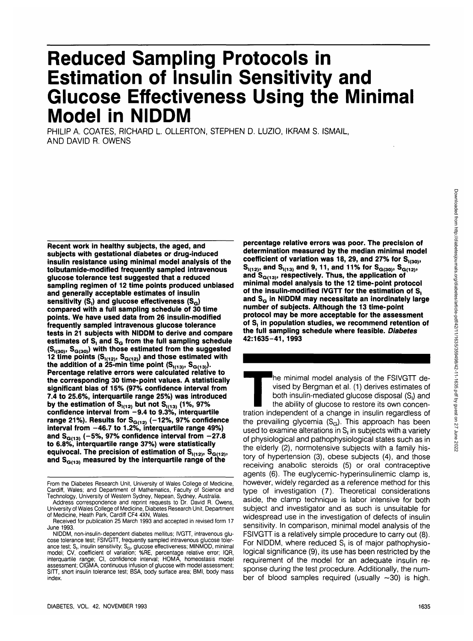# **Reduced Sampling Protocols in Estimation of Insulin Sensitivity and Glucose Effectiveness Using the Minimal Model in NIDDM**

PHILIP A. COATES, RICHARD L. OLLERTON, STEPHEN D. LUZIO, IKRAM S. ISMAIL, AND DAVID R. OWENS

**Recent work in healthy subjects, the aged, and subjects with gestational diabetes or drug-induced insulin resistance using minimal model analysis of the tolbutamide-modified frequently sampled intravenous glucose tolerance test suggested that a reduced sampling regimen of 12 time points produced unbiased and generally acceptable estimates of insulin** sensitivity (S<sub>i</sub>) and glucose effectiveness (S<sub>G</sub>) **compared with a full sampling schedule of 30 time points. We have used data from 26 insulin-modified frequently sampled intravenous glucose tolerance tests in 21 subjects with NIDDM to derive and compare** estimates of S<sub>i</sub> and S<sub>G</sub> from the full sampling schedule **(S|(3<»> SG(30)) with those estimated from the suggested 12 time points**  $(S_{1(12)}, S_{G(12)})$  **and those estimated with** the addition of a  $25$ -min time point  $(S_{1(13)}, S_{G(13)})$ . **Percentage relative errors were calculated relative to the corresponding 30 time-point values. A statistically significant bias of 15% (97% confidence interval from 7.4 to 25.6%, interquartile range 25%) was introduced** by the estimation of S<sub>I(12)</sub> but not S<sub>I(13)</sub> (1%, 97% **confidence interval from -9.4 to 9.3%, interquartile** range 21%). Results for S<sub>G(12)</sub> (-12%, 97% confidence **interval from -46.7 to 1.2%, interquartile range 49%)** and  $S_{G(13)}$  (-5%, 97% confidence interval from -27.8 **to 6.8%, interquartile range 37%) were statistically** equivocal. The precision of estimation of S<sub>1(12)</sub>, S<sub>G(12)</sub>, and S<sub>G(13)</sub> measured by the interquartile range of the

**percentage relative errors was poor. The precision of determination measured by the median minimal model** coefficient of variation was 18, 29, and 27% for S<sub>1(30)</sub>,  $S_{1(12)}$ , and  $S_{1(13)}$  and 9, 11, and 11% for  $S_{G(30)}$ ,  $S_{G(12)}$ , and S<sub>G(13)</sub>, respectively. Thus, the application of **minimal model analysis to the 12 time-point protocol of the insulin-modified IVGTT for the estimation of S,** and S<sub>G</sub> in NIDDM may necessitate an inordinately large **number of subjects. Although the 13 time-point protocol may be more acceptable for the assessment of S, in population studies, we recommend retention of the full sampling schedule where feasible. Diabetes 42:1635-41, 1993**

The minimal model analysis of the FSIVGTT devised by Bergman et al. (1) derives estimates of both insulin-mediated glucose disposal (S<sub>i</sub>) and the ability of glucose to restore its own concentration independent of a change vised by Bergman et al. (1) derives estimates of both insulin-mediated glucose disposal (S<sub>i</sub>) and the ability of glucose to restore its own concenthe prevailing glycemia  $(S_G)$ . This approach has been used to examine alterations in  $S<sub>1</sub>$  in subjects with a variety of physiological and pathophysiological states such as in the elderly (2), normotensive subjects with a family history of hypertension (3), obese subjects (4), and those receiving anabolic steroids (5) or oral contraceptive agents (6). The euglycemic-hyperinsulinemic clamp is, however, widely regarded as a reference method for this type of investigation (7). Theoretical considerations aside, the clamp technique is labor intensive for both subject and investigator and as such is unsuitable for widespread use in the investigation of defects of insulin sensitivity. In comparison, minimal model analysis of the FSIVGTT is a relatively simple procedure to carry out (8). For NIDDM, where reduced  $S<sub>1</sub>$  is of major pathophysiological significance (9), its use has been restricted by the requirement of the model for an adequate insulin response during the test procedure. Additionally, the number of blood samples required (usually  $\sim$ 30) is high.

From the Diabetes Research Unit, University of Wales College of Medicine, Cardiff, Wales; and Department of Mathematics, Faculty of Science and Technology, University of Western Sydney, Nepean, Sydney, Australia.

Address correspondence and reprint requests to Dr. David R. Owens, University of Wales College of Medicine, Diabetes Research Unit, Department of Medicine, Heath Park, Cardiff CF4 4XN, Wales.

Received for publication 25 March 1993 and accepted in revised form 17 June 1993.

NIDDM, non-insulin-dependent diabetes mellitus; IVGTT, intravenous glucose tolerance test; FSIVGTT, frequently sampled intravenous glucose tolerance test;  $S_i$ , insulin sensitivity;  $S_{\text{G}}$ , glucose effectiveness; MINMOD, minimal model; CV, coefficient of variation; %RE, percentage relative error; IQR, interquartile range; Cl, confidence interval; HOMA, homeostasis model assessment; CIGMA, continuous infusion of glucose with model assessment; SITT, short insulin tolerance test; BSA, body surface area; BMI, body mass index.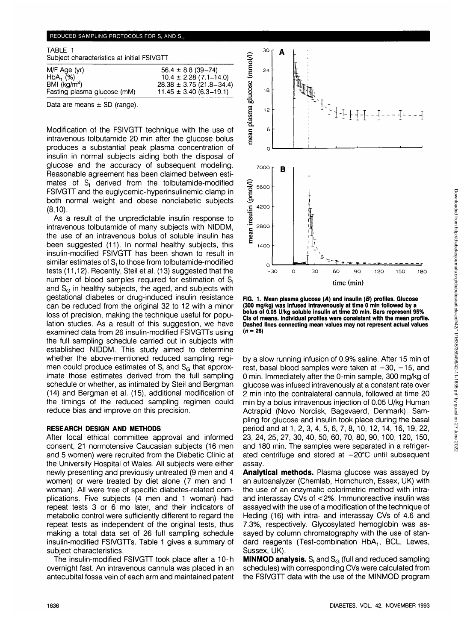### REDUCED SAMPLING PROTOCOLS FOR S, AND So

| TABLE 1<br>Subject characteristics at initial FSIVGTT |                              |  |  |  |  |
|-------------------------------------------------------|------------------------------|--|--|--|--|
| M/F Age (yr)                                          | $56.4 \pm 8.8$ (39-74)       |  |  |  |  |
| $HbA_1$ (%)                                           | $10.4 \pm 2.28(7.1 - 14.0)$  |  |  |  |  |
| BMI $(kg/m2)$                                         | $28.38 \pm 3.75$ (21.8-34.4) |  |  |  |  |
| Fasting plasma glucose (mM)                           | $11.45 \pm 3.40$ (6.3–19.1)  |  |  |  |  |

Data are means  $\pm$  SD (range).

Modification of the FSIVGTT technique with the use of intravenous tolbutamide 20 min after the glucose bolus produces a substantial peak plasma concentration of insulin in normal subjects aiding both the disposal of glucose and the accuracy of subsequent modeling. Reasonable agreement has been claimed between estimates of  $S_1$  derived from the tolbutamide-modified FSIVGTT and the euglycemic-hyperinsulinemic clamp in both normal weight and obese nondiabetic subjects (8,10).

As a result of the unpredictable insulin response to intravenous tolbutamide of many subjects with NIDDM, the use of an intravenous bolus of soluble insulin has been suggested (11). In normal healthy subjects, this insulin-modified FSIVGTT has been shown to result in similar estimates of  $S<sub>1</sub>$  to those from tolbutamide-modified tests (11,12). Recently, Steil et al. (13) suggested that the number of blood samples required for estimation of S, and  $S<sub>G</sub>$  in healthy subjects, the aged, and subjects with gestational diabetes or drug-induced insulin resistance can be reduced from the original 32 to 12 with a minor loss of precision, making the technique useful for population studies. As a result of this suggestion, we have examined data from 26 insulin-modified FSIVGTTs using the full sampling schedule carried out in subjects with established NIDDM. This study aimed to determine whether the above-mentioned reduced sampling regimen could produce estimates of  $S<sub>1</sub>$  and  $S<sub>G</sub>$  that approximate those estimates derived from the full sampling schedule or whether, as intimated by Steil and Bergman (14) and Bergman et al. (15), additional modification of the timings of the reduced sampling regimen could reduce bias and improve on this precision.

#### **RESEARCH DESIGN AND METHODS**

After local ethical committee approval and informed consent, 21 normotensive Caucasian subjects (16 men and 5 women) were recruited from the Diabetic Clinic at the University Hospital of Wales. All subjects were either newly presenting and previously untreated (9 men and 4 women) or were treated by diet alone (7 men and 1 woman). All were free of specific diabetes-related complications. Five subjects (4 men and 1 woman) had repeat tests 3 or 6 mo later, and their indicators of metabolic control were sufficiently different to regard the repeat tests as independent of the original tests, thus making a total data set of 26 full sampling schedule insulin-modified FSIVGTTs. Table 1 gives a summary of subject characteristics.

The insulin-modified FSIVGTT took place after a 10-h overnight fast. An intravenous cannula was placed in an antecubital fossa vein of each arm and maintained patent



**FIG. 1. Mean plasma glucose (A) and insulin (B) profiles. Glucose (300 mg/kg) was infused intravenously at time 0 min followed by a bolus of 0.05 U/kg soluble insulin at time 20 min. Bars represent 95% CIs of means. Individual profiles were consistent with the mean profile. Dashed lines connecting mean values may not represent actual values (n = 26)**

by a slow running infusion of 0.9% saline. After 15 min of rest, basal blood samples were taken at  $-30$ ,  $-15$ , and 0 min. Immediately after the 0-min sample, 300 mg/kg of glucose was infused intravenously at a constant rate over 2 min into the contralateral cannula, followed at time 20 min by a bolus intravenous injection of 0.05 U/kg Human Actrapid (Novo Nordisk, Bagsvaerd, Denmark). Sampling for glucose and insulin took place during the basal period and at 1, 2, 3, 4, 5, 6, 7, 8, 10, 12, 14, 16, 19, 22, 23, 24, 25, 27, 30, 40, 50, 60, 70, 80, 90, 100, 120, 150, and 180 min. The samples were separated in a refrigerated centrifuge and stored at  $-20^{\circ}$ C until subsequent assay.

**Analytical methods.** Plasma glucose was assayed by an autoanalyzer (Chemlab, Homchurch, Essex, UK) with the use of an enzymatic colorimetric method with intraand interassay CVs of <2%. Immunoreactive insulin was assayed with the use of a modification of the technique of Heding (16) with intra- and interassay CVs of 4.6 and 7.3%, respectively. Glycosylated hemoglobin was assayed by column chromatography with the use of standard reagents (Test-combination HbA<sub>1</sub>, BCL, Lewes, Sussex, UK).

**MINMOD analysis.** S<sub>i</sub> and S<sub>G</sub> (full and reduced sampling schedules) with corresponding CVs were calculated from the FSIVGTT data with the use of the MINMOD program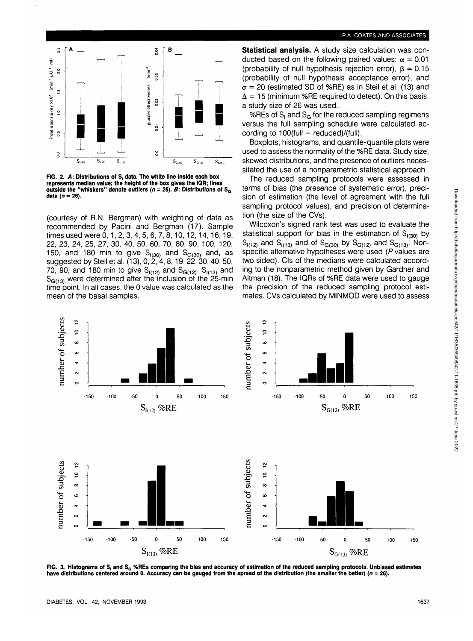



**FIG. 2. A: Distributions of S, data. The white line inside each box represents median value; the height of the box gives the IQR; lines** outside the "whiskers" denote outliers  $(n = 26)$ . **B:** Distributions of  $S_G$ **data (n = 26).**

(courtesy of R.N. Bergman) with weighting of data as recommended by Pacini and Bergman (17). Sample times used were 0,1,2,3,4,5,6,7,8,10,12,14,16,19, 22, 23, 24, 25, 27, 30, 40, 50, 60, 70, 80, 90, 100, 120, 150, and 180 min to give  $S_{(30)}$  and  $S_{G(30)}$  and, as suggested by Steil et al. (13), 0,2, 4, 8,19, 22, 30, 40, 50, 70, 90, and 180 min to give  $S_{1(12)}$  and  $S_{G(12)}$ .  $S_{1(13)}$  and  $S<sub>G(13)</sub>$  were determined after the inclusion of the 25-min time point. In all cases, the 0 value was calculated as the mean of the basal samples.

**Statistical analysis.** A study size calculation was conducted based on the following paired values:  $\alpha = 0.01$ (probability of null hypothesis rejection error),  $\beta = 0.15$ (probability of null hypothesis acceptance error), and  $\sigma$  = 20 (estimated SD of %RE) as in Steil et al. (13) and  $\Delta = 15$  (minimum %RE required to detect). On this basis, a study size of 26 was used.

%REs of  $S<sub>1</sub>$  and  $S<sub>G</sub>$  for the reduced sampling regimens versus the full sampling schedule were calculated according to  $100$ (full - reduced)/(full).

Boxplots, histograms, and quantile-quantile plots were used to assess the normality of the %RE data. Study size, skewed distributions, and the presence of outliers necessitated the use of a nonparametric statistical approach.

The reduced sampling protocols were assessed in terms of bias (the presence of systematic error), precision of estimation (the level of agreement with the full sampling protocol values), and precision of determination (the size of the CVs).

Wilcoxon's signed rank test was used to evaluate the statistical support for bias in the estimation of  $S_{1(30)}$  by  $S_{l(12)}$  and  $S_{l(13)}$  and of  $S_{G(30)}$  by  $S_{G(12)}$  and  $S_{G(13)}$ . Nonspecific alternative hypotheses were used (P values are two sided). CIs of the medians were calculated according to the nonparametric method given by Gardner and Altman (18). The IQRs of %RE data were used to gauge the precision of the reduced sampling protocol estimates. CVs calculated by **MINMOD** were used to assess



FIG. 3. Histograms of S, and S<sub>o</sub> %REs comparing the bias and accuracy of estimation of the reduced sampling protocols. Unbiased estimates **have distributions centered around 0. Accuracy can be gauged from the spread of the distribution (the smaller the better) (n = 26).**

Downloaded from http://diabetesjournals.org/diabetes/article-pdf/42/11/1635/359498/42-11-1635.pdf by guest on 27 June 2022

Downloaded from http://diabetesjournals.org/diabetes/article-pdf42/11/1635/359498/42-11-1635.pdf by guest on 27 June 2022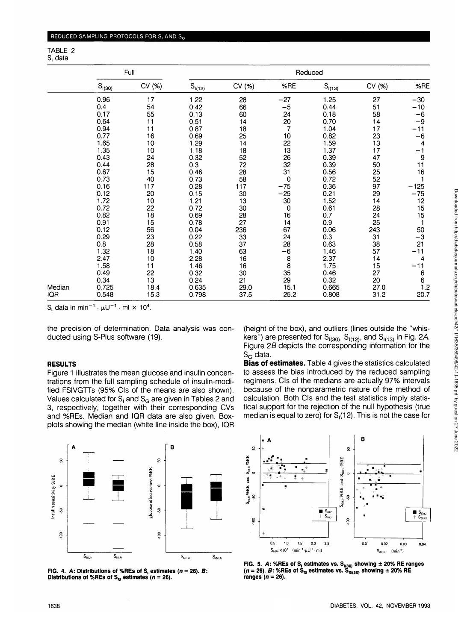|        | Full        |        | Reduced     |        |                                       |             |        |                    |
|--------|-------------|--------|-------------|--------|---------------------------------------|-------------|--------|--------------------|
|        | $S_{1(30)}$ | CV (%) | $S_{1(12)}$ | CV (%) | %RE                                   | $S_{1(13)}$ | CV (%) | %RE                |
|        | 0.96        | 17     | 1.22        | 28     | $-27$                                 | 1.25        | 27     | $-30$              |
|        | 0.4         | 54     | 0.42        | 66     | $-5$                                  | 0.44        | 51     | $-10$              |
|        | 0.17        | 55     | 0.13        | 60     | 24                                    | 0.18        | 58     | -6                 |
|        | 0.64        | 11     | 0.51        | 14     | 20                                    | 0.70        | 14     | -9                 |
|        | 0.94        | 11     | 0.87        | 18     | 7                                     | 1.04        | 17     | $\overline{11}$    |
|        | 0.77        | 16     | 0.69        | 25     | 10                                    | 0.82        | 23     | ۰6                 |
|        | 1.65        | 10     | 1.29        | 14     | 22                                    | 1.59        | 13     | 4                  |
|        | 1.35        | 10     | 1.18        | 18     | 13                                    | 1.37        | 17     | $-1$               |
|        | 0.43        | 24     | 0.32        | 52     | 26                                    | 0.39        | 47     | 9                  |
|        | 0.44        | 28     | 0.3         | 72     | 32                                    | 0.39        | 50     | 11                 |
|        | 0.67        | 15     | 0.46        | 28     | 31                                    | 0.56        | 25     | 16                 |
|        | 0.73        | 40     | 0.73        | 58     | 0                                     | 0.72        | 52     |                    |
|        | 0.16        | 117    | 0.28        | 117    | $-75$                                 | 0.36        | 97     | $-125$             |
|        | 0.12        | 20     | 0.15        | 30     | $-25$                                 | 0.21        | 29     | $-75$              |
|        | 1.72        | 10     | 1.21        | 13     | 30                                    | 1.52        | 14     | 12                 |
|        | 0.72        | 22     | 0.72        | 30     | 0                                     | 0.61        | 28     | 15                 |
|        | 0.82        | 18     | 0.69        | 28     | 16                                    | 0.7         | 24     | 15                 |
|        | 0.91        | 15     | 0.78        | 27     | 14                                    | 0.9         | 25     |                    |
|        | 0.12        | 56     | 0.04        | 236    | 67                                    | 0.06        | 243    | 50                 |
|        | 0.29        | 23     | 0.22        | 33     | 24                                    | 0.3         | 31     | $-3$               |
|        | $0.8\,$     | 28     | 0.58        | 37     | 28                                    | 0.63        | 38     | 21                 |
|        | 1.32        | 18     | 1.40        | 63     | $-6$                                  | 1.46        | 57     | 11                 |
|        | 2.47        | 10     | 2.28        | 16     | $\begin{array}{c} 8 \\ 8 \end{array}$ | 2.37        | 14     | 4                  |
|        | 1.58        | 11     | 1.46        | 16     |                                       | 1.75        | 15     | -11                |
|        | 0.49        | 22     | 0.32        | 30     | 35                                    | 0.46        | 27     | 6                  |
|        | 0.34        | 13     | 0.24        | 21     | 29                                    | 0.32        | 20     | 6                  |
| Median | 0.725       | 18.4   | 0.635       | 29.0   | 15.1                                  | 0.665       | 27.0   | $\frac{1.2}{20.7}$ |
| IQR    | 0.548       | 15.3   | 0.798       | 37.5   | 25.2                                  | 0.808       | 31.2   |                    |

S<sub>t</sub> data in min<sup>-1</sup> ·  $\mu U^{-1}$  · ml  $\times$  10<sup>4</sup>.

the precision of determination. Data analysis was conducted using S-Plus software (19).

# **RESULTS**

Figure 1 illustrates the mean glucose and insulin concentrations from the full sampling schedule of insulin-modified FSIVGTTs (95% CIs of the means are also shown). Values calculated for  $S<sub>l</sub>$  and  $S<sub>G</sub>$  are given in Tables 2 and 3, respectively, together with their corresponding CVs and %REs. Median and IQR data are also given. Boxplots showing the median (white line inside the box), IQR

(height of the box), and outliers (lines outside the "whiskers") are presented for  $S_{1(30)}$ ,  $S_{1(12)}$ , and  $S_{1(13)}$  in Fig. 2A. Figure 28 depicts the corresponding information for the  $S_G$  data.

**Bias of estimates.** Table 4 gives the statistics calculated to assess the bias introduced by the reduced sampling regimens. CIs of the medians are actually 97% intervals because of the nonparametric nature of the method of calculation. Both CIs and the test statistics imply statistical support for the rejection of the null hypothesis (true median is equal to zero) for  $S_1(12)$ . This is not the case for







**FIG. 5. A: %REs of S, estimates vs. S,^, showing ± 20% RE ranges** (*n* = 26). *B*: %REs of S<sub>G</sub> estimates vs. S<sub>G(30)</sub> showing ± 20% RE **ranges (n = 26).**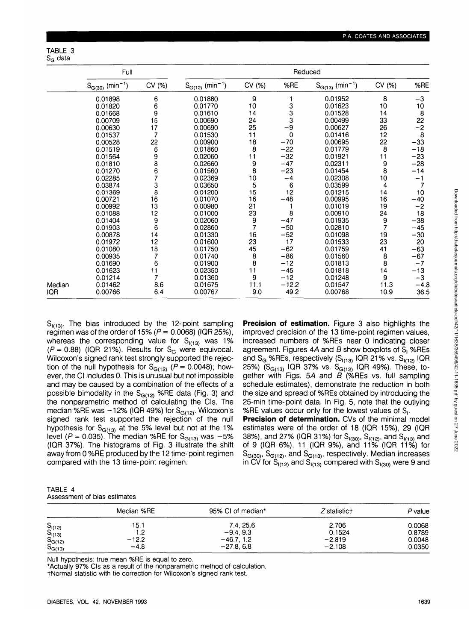TABLE 3  $S_G$  data

|        | Full                             |                | Reduced                          |               |         |                                  |                                        |        |
|--------|----------------------------------|----------------|----------------------------------|---------------|---------|----------------------------------|----------------------------------------|--------|
|        | $S_{G(30)}$ (min <sup>-1</sup> ) | CV (%)         | $S_{G(12)}$ (min <sup>-1</sup> ) | CV (%)        | %RE     | $S_{G(13)}$ (min <sup>-1</sup> ) | CV (%)                                 | %RE    |
|        | 0.01898                          | 6              | 0.01880                          | 9             |         | 0.01952                          | 8                                      | $-3$   |
|        | 0.01820                          | 6              | 0.01770                          | 10            | 3       | 0.01623                          | 10                                     | 10     |
|        | 0.01668                          | 9              | 0.01610                          | 14            | 3       | 0.01528                          | 14                                     | 8      |
|        | 0.00709                          | 15             | 0.00690                          | 24            | 3       | 0.00499                          | 33                                     | 22     |
|        | 0.00630                          | 17             | 0.00690                          | 25            | $-9$    | 0.00627                          | 26                                     | $-2$   |
|        | 0.01537                          | 7              | 0.01530                          | 11            | 0       | 0.01416                          | 12                                     | 8      |
|        | 0.00528                          | 22             | 0.00900                          | 18            | $-70$   | 0.00695                          | $\begin{array}{c} 22 \\ 8 \end{array}$ | $-33$  |
|        | 0.01519                          | 6              | 0.01860                          | 8             | $-22$   | 0.01779                          |                                        | $-18$  |
|        | 0.01564                          | 9              | 0.02060                          | 11            | $-32$   | 0.01921                          | 11                                     | $-23$  |
|        | 0.01810                          | 8              | 0.02660                          | 9             | $-47$   | 0.02311                          | 9                                      | $-28$  |
|        | 0.01270                          | 6              | 0.01560                          | 8             | $-23$   | 0.01454                          | 8                                      | -14    |
|        | 0.02285                          | 7              | 0.02369                          | 10            | $-4$    | 0.02308                          | 10                                     | -1     |
|        | 0.03874                          | 3              | 0.03650                          | 5             | 6       | 0.03599                          | 4                                      |        |
|        | 0.01369                          | 8              | 0.01200                          | 15            | 12      | 0.01215                          | 14                                     | 10     |
|        | 0.00721                          | 16             | 0.01070                          | 16            | $-48$   | 0.00995                          | 16                                     | $-40$  |
|        | 0.00992                          | 13             | 0.00980                          | 21            |         | 0.01019                          | 19                                     | $-2$   |
|        | 0.01088                          | 12             | 0.01000                          | 23            | 8       | 0.00910                          | 24                                     | 18     |
|        | 0.01404                          | 9              | 0.02060                          | $\frac{9}{7}$ | $-47$   | 0.01935                          | 9                                      | $-38$  |
|        | 0.01903                          | 6              | 0.02860                          |               | $-50$   | 0.02810                          | $\overline{7}$                         | $-45$  |
|        | 0.00878                          | 14             | 0.01330                          | 16            | $-52$   | 0.01098                          | 19                                     | $-30$  |
|        | 0.01972                          | 12             | 0.01600                          | 23            | 17      | 0.01533                          | 23                                     | 20     |
|        | 0.01080                          | 18             | 0.01750                          | 45            | $-62$   | 0.01759                          | 41                                     | $-63$  |
|        | 0.00935                          | 7              | 0.01740                          | 8             | $-86$   | 0.01560                          | 8                                      | $-67$  |
|        | 0.01690                          | 6              | 0.01900                          | 8             | $-12$   | 0.01813                          | 8                                      | $-7$   |
|        | 0.01623                          | 11             | 0.02350                          | 11            | $-45$   | 0.01818                          | 14                                     | $-13$  |
|        | 0.01214                          | $\overline{7}$ | 0.01360                          | 9             | $-12$   | 0.01248                          | 9                                      | $-3$   |
| Median | 0.01462                          | 8.6            | 0.01675                          | 11.1          | $-12.2$ | 0.01547                          | 11.3                                   | $-4.8$ |
| IQR.   | 0.00766                          | 6.4            | 0.00767                          | 9.0           | 49.2    | 0.00768                          | 10.9                                   | 36.5   |

 $S_{(13)}$ . The bias introduced by the 12-point sampling regimen was of the order of 15% ( $P = 0.0068$ ) (IQR 25%), whereas the corresponding value for  $S_{1(13)}$  was 1%  $(P=0.88)$  (IQR 21%). Results for S<sub>G</sub> were equivocal. Wilcoxon's signed rank test strongly supported the rejection of the null hypothesis for  $S_{G(12)}$  ( $P = 0.0048$ ); however, the Cl includes 0. This is unusual but not impossible and may be caused by a combination of the effects of a possible bimodality in the  $S<sub>G(12)</sub>$  %RE data (Fig. 3) and the nonparametric method of calculating the CIs. The median %RE was  $-12%$  (IQR 49%) for  $S<sub>G(12)</sub>$ . Wilcoxon's signed rank test supported the rejection of the null hypothesis for  $S<sub>G(13)</sub>$  at the 5% level but not at the 1% level ( $P = 0.035$ ). The median %RE for S<sub>G(13)</sub> was -5% (IQR 37%). The histograms of Fig. 3 illustrate the shift away from 0 %RE produced by the 12 time- point regimen compared with the 13 time-point regimen.

**Precision of estimation.** Figure 3 also highlights the improved precision of the 13 time-point regimen values, increased numbers of %REs near 0 indicating closer agreement. Figures  $4A$  and  $B$  show boxplots of  $S_1$  %REs and S<sub>G</sub> %REs, respectively (S<sub>t(13)</sub> IQR 21% vs. S<sub>t(12)</sub> IQR 25%) (S<sub>G(13)</sub> IQR 37% vs. S<sub>G(12)</sub> IQR 49%). These, together with Figs. 5A and  $B$  (%REs vs. full sampling schedule estimates), demonstrate the reduction in both the size and spread of %REs obtained by introducing the 25-min time-point data. In Fig. 5, note that the outlying %RE values occur only for the lowest values of S<sub>1</sub>.

**Precision of determination.** CVs of the minimal model estimates were of the order of 18 (IQR 15%), 29 (IQR 38%), and 27% (IQR 31%) for  $S_{1(30)}$ ,  $S_{1(12)}$ , and  $S_{1(13)}$  and of 9 (IQR 6%), 11 (IQR 9%), and 11% (IQR 11%) for  $S<sub>G(30)</sub>, S<sub>G(12)</sub>, and S<sub>G(13)</sub>, respectively. Median increases$ in CV for  $S_{1(12)}$  and  $S_{1(13)}$  compared with  $S_{1(30)}$  were 9 and

TABLE 4 Assessment of bias estimates

|                                                          | Median %RE | 95% CI of median* | $Z$ statistic $\tau$ | <i>P</i> value |  |
|----------------------------------------------------------|------------|-------------------|----------------------|----------------|--|
|                                                          | 15.1       | 7.4.25.6          | 2.706                | 0.0068         |  |
|                                                          | 1.2        | $-9.4.9.3$        | 0.1524               | 0.8789         |  |
|                                                          | $-12.2$    | $-46.7.12$        | $-2.819$             | 0.0048         |  |
| $S_{1(12)}$<br>$S_{1(13)}$<br>$S_{G(12)}$<br>$S_{G(13)}$ | $-4.8$     | $-27.8.6.8$       | $-2.108$             | 0.0350         |  |

Null hypothesis: true mean %RE is equal to zero.<br>\*Actually 97% CIs as a result of the nonparametric method of calculation.

tNormal statistic with tie correction for Wilcoxon's signed rank test.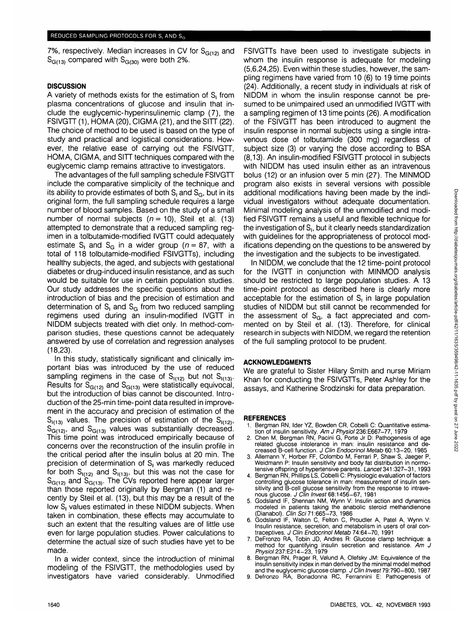7%, respectively. Median increases in CV for  $S<sub>G(12)</sub>$  and  $S<sub>G(13)</sub>$  compared with  $S<sub>G(30)</sub>$  were both 2%.

# **DISCUSSION**

A variety of methods exists for the estimation of S, from plasma concentrations of glucose and insulin that include the euglycemic-hyperinsulinemic clamp (7), the FSIVGTT (1), HOMA (20), CIGMA (21), and the SITT (22). The choice of method to be used is based on the type of study and practical and logistical considerations. However, the relative ease of carrying out the FSIVGTT, HOMA, CIGMA, and SITT techniques compared with the euglycemic clamp remains attractive to investigators.

The advantages of the full sampling schedule FSIVGTT include the comparative simplicity of the technique and its ability to provide estimates of both  $S<sub>1</sub>$  and  $S<sub>G</sub>$ , but in its original form, the full sampling schedule requires a large number of blood samples. Based on the study of a small number of normal subjects  $(n = 10)$ , Steil et al. (13) attempted to demonstrate that a reduced sampling regimen in a tolbutamide-modified IVGTT could adequately estimate S<sub>I</sub> and S<sub>G</sub> in a wider group ( $n = 87$ , with a total of 118 tolbutamide-modified FSIVGTTs), including healthy subjects, the aged, and subjects with gestational diabetes or drug-induced insulin resistance, and as such would be suitable for use in certain population studies. Our study addresses the specific questions about the introduction of bias and the precision of estimation and determination of  $S_1$  and  $S_G$  from two reduced sampling regimens used during an insulin-modified IVGTT in NIDDM subjects treated with diet only. In method-comparison studies, these questions cannot be adequately answered by use of correlation and regression analyses (18,23).

In this study, statistically significant and clinically important bias was introduced by the use of reduced sampling regimens in the case of  $S_{1(12)}$  but not  $S_{1(13)}$ . Results for  $S<sub>G(12)</sub>$  and  $S<sub>G(13)</sub>$  were statistically equivocal, but the introduction of bias cannot be discounted. Introduction of the 25-min time-point data resulted in improvement in the accuracy and precision of estimation of the  $S_{(13)}$  values. The precision of estimation of the  $S_{(12)}$ ,  $S_{\text{G(12)}}^{(1,2)}$ , and  $S_{\text{G(13)}}$  values was substantially decreased. This time point was introduced empirically because of concerns over the reconstruction of the insulin profile in the critical period after the insulin bolus at 20 min. The precision of determination of S<sub>1</sub> was markedly reduced for both  $S_{1(12)}$  and  $S_{1(13)}$ , but this was not the case for  $S<sub>G(12)</sub>$  and  $S<sub>G(13)</sub>$ . The CVs reported here appear larger than those reported originally by Bergman (1) and recently by Steil et al. (13), but this may be a result of the low S<sub>1</sub> values estimated in these NIDDM subjects. When taken in combination, these effects may accumulate to such an extent that the resulting values are of little use even for large population studies. Power calculations to determine the actual size of such studies have yet to be made.

In a wider context, since the introduction of minimal modeling of the FSIVGTT, the methodologies used by investigators have varied considerably. Unmodified

FSIVGTTs have been used to investigate subjects in whom the insulin response is adequate for modeling (5,6,24,25). Even within these studies, however, the sampling regimens have varied from 10 (6) to 19 time points (24). Additionally, a recent study in individuals at risk of NIDDM in whom the insulin response cannot be presumed to be unimpaired used an unmodified IVGTT with a sampling regimen of 13 time points (26). A modification of the FSIVGTT has been introduced to augment the insulin response in normal subjects using a single intravenous dose of tolbutamide (300 mg) regardless of subject size (3) or varying the dose according to BSA (8,13). An insulin-modified FSIVGTT protocol in subjects with NIDDM has used insulin either as an intravenous bolus (12) or an infusion over 5 min (27). The MINMOD program also exists in several versions with possible additional modifications having been made by the individual investigators without adequate documentation. Minimal modeling analysis of the unmodified and modified FSIVGTT remains a useful and flexible technique for the investigation of  $S<sub>1</sub>$ , but it clearly needs standardization with guidelines for the appropriateness of protocol modifications depending on the questions to be answered by the investigation and the subjects to be investigated.

In NIDDM, we conclude that the 12 time-point protocol for the IVGTT in conjunction with MINMOD analysis should be restricted to large population studies. A 13 time-point protocol as described here is clearly more acceptable for the estimation of S, in large population studies of NIDDM but still cannot be recommended for the assessment of  $S<sub>G</sub>$ , a fact appreciated and commented on by Steil et al. (13). Therefore, for clinical research in subjects with NIDDM, we regard the retention of the full sampling protocol to be prudent.

# **ACKNOWLEDGMENTS**

We are grateful to Sister Hilary Smith and nurse Miriam Khan for conducting the FSIVGTTs, Peter Ashley for the assays, and Katherine Srodzinski for data preparation.

- REFERENCES<br>1. Bergman RN, Ider YZ, Bowden CR, Cobelli C: Quantitative estima-1. Bergman RN, Indeed CR, Cobelling CR, Coben C. Coben C. Coben M, Bergman RN, Pacini G, Porte Jr D: Pathogenesis of age
	- related glucose intolerance in man: insulin resistance and decreased B-cell function. J Clin Endocrinol Metab 60:13-20, 1985<br>Allemann Y, Horber FF, Colombo M, Ferrari P, Shaw S, Jaeger P,
- 3. Allemann Y, Horber FF, Colombo M, Ferrari P, Shaw S, Jaeger P, Weidmann P: Insulin sensitivity and body fat distribution in normo- tensive offspring of hypertensive parents. Lancet 341:327-31,1993
- 4. Bergman RN, Phillips LS, Cobelli C: Physiologic evaluation of factors controlling glucose tolerance in man: measurement of insulin sen sitivity and B-cell glucose sensitivity from the response to intrave-<br>nous glucose. *J Clin Invest* 68:1456–67, 1981
- 5. Godsland IF, Shennan NM, Wynn V: Insulin action and dynamics modeled in patients taking the anabolic steroid methandienone
- (Dianabol). Clin Sci 71:665-73, 1986<br>Godsland IF, Walton C, Felton C, Proudler A, Patel A, Wynn V: 6. Godsland IF, Walton C, Felton C, Proudjer A, Patel A, Wynn V: Insulin resistance, secretion, and metabolism in users of oral con traceptives. J Clin Endocrinol Metab 74:64-70, 1991<br>DeFronzo RA, Tobin JD, Andres R: Glucose clamp technique: a
- 7. DeFronzo RA, Tobin JD, Andres R: Glucose clamp technique: a method for quantifying insulin secretion and resistance. Am J<br>Physiol 237:E214-23, 1979
- 8. Bergman RN, Prager R, Vølund A, Olefsky JM: Equivalence of the insulin sensitivity index in man derived by the minimal model method and the euglycemic glucose clamp. J Clin Invest 79:790-800, 1987
- 9. Defronzo RA, Bonadonna RC, Ferrannini E: Pathogenesis of